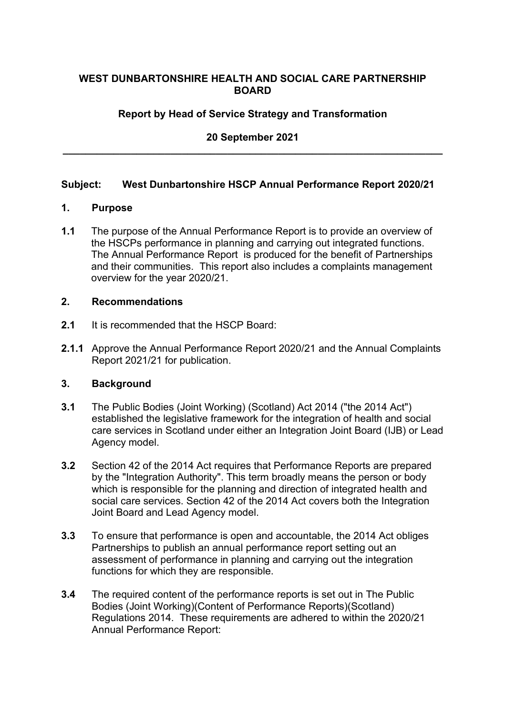## **WEST DUNBARTONSHIRE HEALTH AND SOCIAL CARE PARTNERSHIP BOARD**

# **Report by Head of Service Strategy and Transformation**

# **20 September 2021 \_\_\_\_\_\_\_\_\_\_\_\_\_\_\_\_\_\_\_\_\_\_\_\_\_\_\_\_\_\_\_\_\_\_\_\_\_\_\_\_\_\_\_\_\_\_\_\_\_\_\_\_\_\_\_\_\_\_\_\_\_\_\_\_\_\_\_**

# **Subject: West Dunbartonshire HSCP Annual Performance Report 2020/21**

#### **1. Purpose**

**1.1** The purpose of the Annual Performance Report is to provide an overview of the HSCPs performance in planning and carrying out integrated functions. The Annual Performance Report is produced for the benefit of Partnerships and their communities. This report also includes a complaints management overview for the year 2020/21.

#### **2. Recommendations**

- **2.1** It is recommended that the HSCP Board:
- **2.1.1** Approve the Annual Performance Report 2020/21 and the Annual Complaints Report 2021/21 for publication.

### **3. Background**

- **3.1** The Public Bodies (Joint Working) (Scotland) Act 2014 ("the 2014 Act") established the legislative framework for the integration of health and social care services in Scotland under either an Integration Joint Board (IJB) or Lead Agency model.
- **3.2** Section 42 of the 2014 Act requires that Performance Reports are prepared by the "Integration Authority". This term broadly means the person or body which is responsible for the planning and direction of integrated health and social care services. Section 42 of the 2014 Act covers both the Integration Joint Board and Lead Agency model.
- **3.3** To ensure that performance is open and accountable, the 2014 Act obliges Partnerships to publish an annual performance report setting out an assessment of performance in planning and carrying out the integration functions for which they are responsible.
- **3.4** The required content of the performance reports is set out in The Public Bodies (Joint Working)(Content of Performance Reports)(Scotland) Regulations 2014. These requirements are adhered to within the 2020/21 Annual Performance Report: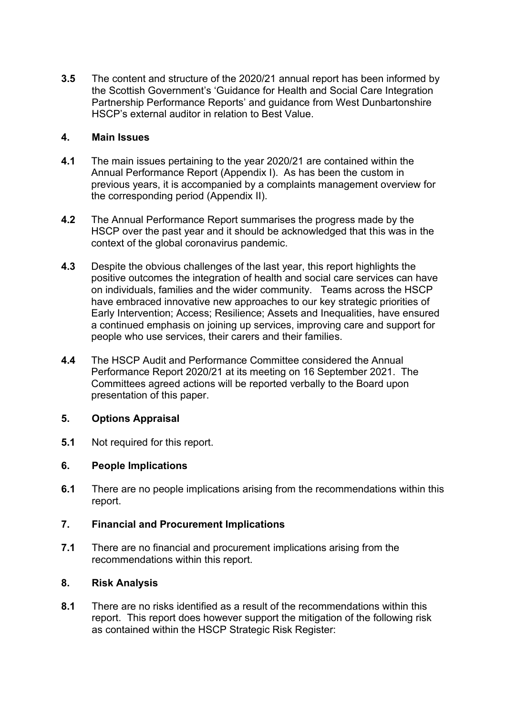**3.5** The content and structure of the 2020/21 annual report has been informed by the Scottish Government's 'Guidance for Health and Social Care Integration Partnership Performance Reports' and guidance from West Dunbartonshire HSCP's external auditor in relation to Best Value.

# **4. Main Issues**

- **4.1** The main issues pertaining to the year 2020/21 are contained within the Annual Performance Report (Appendix I). As has been the custom in previous years, it is accompanied by a complaints management overview for the corresponding period (Appendix II).
- **4.2** The Annual Performance Report summarises the progress made by the HSCP over the past year and it should be acknowledged that this was in the context of the global coronavirus pandemic.
- **4.3** Despite the obvious challenges of the last year, this report highlights the positive outcomes the integration of health and social care services can have on individuals, families and the wider community. Teams across the HSCP have embraced innovative new approaches to our key strategic priorities of Early Intervention; Access; Resilience; Assets and Inequalities, have ensured a continued emphasis on joining up services, improving care and support for people who use services, their carers and their families.
- **4.4** The HSCP Audit and Performance Committee considered the Annual Performance Report 2020/21 at its meeting on 16 September 2021. The Committees agreed actions will be reported verbally to the Board upon presentation of this paper.

### **5. Options Appraisal**

**5.1** Not required for this report.

### **6. People Implications**

**6.1** There are no people implications arising from the recommendations within this report.

# **7. Financial and Procurement Implications**

**7.1** There are no financial and procurement implications arising from the recommendations within this report.

### **8. Risk Analysis**

**8.1** There are no risks identified as a result of the recommendations within this report. This report does however support the mitigation of the following risk as contained within the HSCP Strategic Risk Register: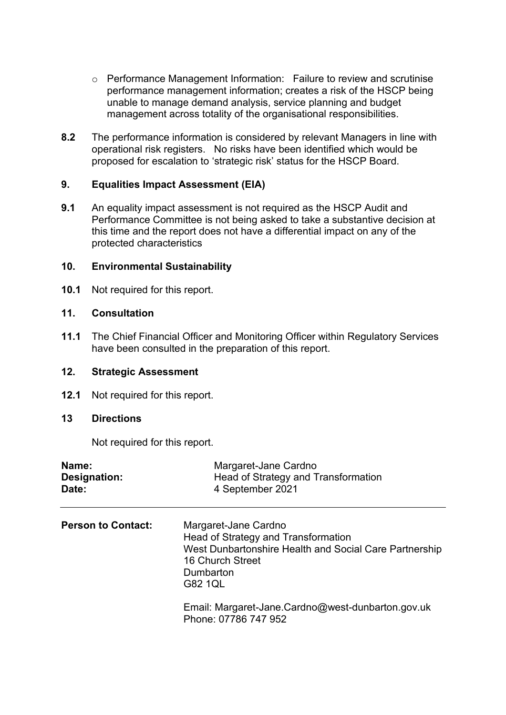- o Performance Management Information: Failure to review and scrutinise performance management information; creates a risk of the HSCP being unable to manage demand analysis, service planning and budget management across totality of the organisational responsibilities.
- **8.2** The performance information is considered by relevant Managers in line with operational risk registers. No risks have been identified which would be proposed for escalation to 'strategic risk' status for the HSCP Board.

## **9. Equalities Impact Assessment (EIA)**

**9.1** An equality impact assessment is not required as the HSCP Audit and Performance Committee is not being asked to take a substantive decision at this time and the report does not have a differential impact on any of the protected characteristics

### **10. Environmental Sustainability**

**10.1** Not required for this report.

# **11. Consultation**

**11.1** The Chief Financial Officer and Monitoring Officer within Regulatory Services have been consulted in the preparation of this report.

## **12. Strategic Assessment**

**12.1** Not required for this report.

## **13 Directions**

Not required for this report.

| Name:<br>Designation:<br>Date: | Margaret-Jane Cardno<br>Head of Strategy and Transformation<br>4 September 2021                                                                                   |
|--------------------------------|-------------------------------------------------------------------------------------------------------------------------------------------------------------------|
| <b>Person to Contact:</b>      | Margaret-Jane Cardno<br>Head of Strategy and Transformation<br>West Dunbartonshire Health and Social Care Partnership<br>16 Church Street<br>Dumbarton<br>G82 1QL |
|                                | Email: Margaret-Jane.Cardno@west-dunbarton.gov.uk<br>Phone: 07786 747 952                                                                                         |